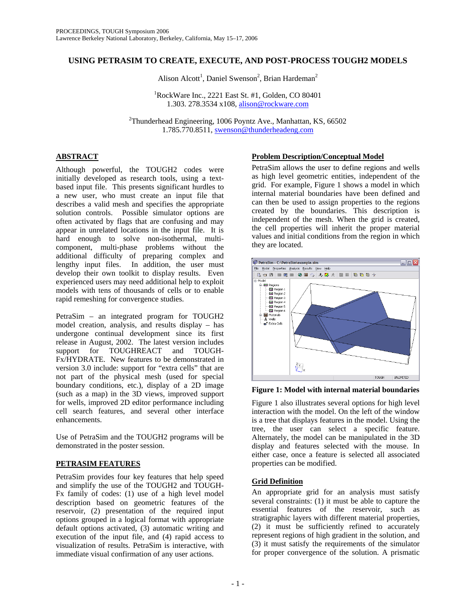# **USING PETRASIM TO CREATE, EXECUTE, AND POST-PROCESS TOUGH2 MODELS**

Alison Alcott<sup>1</sup>, Daniel Swenson<sup>2</sup>, Brian Hardeman<sup>2</sup>

1 RockWare Inc., 2221 East St. #1, Golden, CO 80401 1.303. 278.3534 x108, alison@rockware.com

<sup>2</sup>Thunderhead Engineering, 1006 Poyntz Ave., Manhattan, KS, 66502 1.785.770.8511, swenson@thunderheadeng.com

# **ABSTRACT**

Although powerful, the TOUGH2 codes were initially developed as research tools, using a textbased input file. This presents significant hurdles to a new user, who must create an input file that describes a valid mesh and specifies the appropriate solution controls. Possible simulator options are often activated by flags that are confusing and may appear in unrelated locations in the input file. It is hard enough to solve non-isothermal, multicomponent, multi-phase problems without the additional difficulty of preparing complex and lengthy input files. In addition, the user must develop their own toolkit to display results. Even experienced users may need additional help to exploit models with tens of thousands of cells or to enable rapid remeshing for convergence studies.

PetraSim – an integrated program for TOUGH2 model creation, analysis, and results display – has undergone continual development since its first release in August, 2002. The latest version includes support for TOUGHREACT and TOUGH-Fx/HYDRATE. New features to be demonstrated in version 3.0 include: support for "extra cells" that are not part of the physical mesh (used for special boundary conditions, etc.), display of a 2D image (such as a map) in the 3D views, improved support for wells, improved 2D editor performance including cell search features, and several other interface enhancements.

Use of PetraSim and the TOUGH2 programs will be demonstrated in the poster session.

# **PETRASIM FEATURES**

PetraSim provides four key features that help speed and simplify the use of the TOUGH2 and TOUGH-Fx family of codes: (1) use of a high level model description based on geometric features of the reservoir, (2) presentation of the required input options grouped in a logical format with appropriate default options activated, (3) automatic writing and execution of the input file, and (4) rapid access to visualization of results. PetraSim is interactive, with immediate visual confirmation of any user actions.

## **Problem Description/Conceptual Model**

PetraSim allows the user to define regions and wells as high level geometric entities, independent of the grid. For example, Figure 1 shows a model in which internal material boundaries have been defined and can then be used to assign properties to the regions created by the boundaries. This description is independent of the mesh. When the grid is created, the cell properties will inherit the proper material values and initial conditions from the region in which they are located.



**Figure 1: Model with internal material boundaries** 

Figure 1 also illustrates several options for high level interaction with the model. On the left of the window is a tree that displays features in the model. Using the tree, the user can select a specific feature. Alternately, the model can be manipulated in the 3D display and features selected with the mouse. In either case, once a feature is selected all associated properties can be modified.

# **Grid Definition**

An appropriate grid for an analysis must satisfy several constraints: (1) it must be able to capture the essential features of the reservoir, such as stratigraphic layers with different material properties, (2) it must be sufficiently refined to accurately represent regions of high gradient in the solution, and (3) it must satisfy the requirements of the simulator for proper convergence of the solution. A prismatic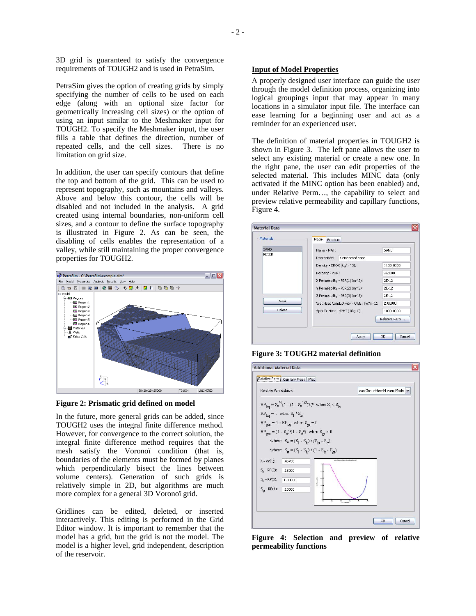3D grid is guaranteed to satisfy the convergence requirements of TOUGH2 and is used in PetraSim.

PetraSim gives the option of creating grids by simply specifying the number of cells to be used on each edge (along with an optional size factor for geometrically increasing cell sizes) or the option of using an input similar to the Meshmaker input for TOUGH2. To specify the Meshmaker input, the user fills a table that defines the direction, number of repeated cells, and the cell sizes. There is no limitation on grid size.

In addition, the user can specify contours that define the top and bottom of the grid. This can be used to represent topography, such as mountains and valleys. Above and below this contour, the cells will be disabled and not included in the analysis. A grid created using internal boundaries, non-uniform cell sizes, and a contour to define the surface topography is illustrated in Figure 2. As can be seen, the disabling of cells enables the representation of a valley, while still maintaining the proper convergence properties for TOUGH2.



**Figure 2: Prismatic grid defined on model** 

In the future, more general grids can be added, since TOUGH2 uses the integral finite difference method. However, for convergence to the correct solution, the integral finite difference method requires that the mesh satisfy the Voronoï condition (that is, boundaries of the elements must be formed by planes which perpendicularly bisect the lines between volume centers). Generation of such grids is relatively simple in 2D, but algorithms are much more complex for a general 3D Voronoï grid.

Gridlines can be edited, deleted, or inserted interactively. This editing is performed in the Grid Editor window. It is important to remember that the model has a grid, but the grid is not the model. The model is a higher level, grid independent, description of the reservoir.

#### **Input of Model Properties**

A properly designed user interface can guide the user through the model definition process, organizing into logical groupings input that may appear in many locations in a simulator input file. The interface can ease learning for a beginning user and act as a reminder for an experienced user.

The definition of material properties in TOUGH2 is shown in Figure 3. The left pane allows the user to select any existing material or create a new one. In the right pane, the user can edit properties of the selected material. This includes MINC data (only activated if the MINC option has been enabled) and, under Relative Perm…, the capability to select and preview relative permeability and capillary functions, Figure 4.

|              | Matrix<br>Fracture                    |               |
|--------------|---------------------------------------|---------------|
| SAND         | Name - MAT:                           | SAND          |
| <b>RESER</b> | Compacted sand<br>Description:        |               |
|              | Density - DROK (kg/m^3):              | 1153.0000     |
|              | Porosity - POR:                       | .42000        |
|              | X Permeability - PER(1) (m^2):        | $2E-12$       |
|              | Y Permeability - PER(2) (m^2):        | $2F-12$       |
|              | Z Permeability - PER(3) (m^2):        | $2E-12$       |
| <b>New</b>   | Wet Heat Conductivity - CWET (W/m-C): | 2,00000       |
| Delete       | Specific Heat - SPHT (J/kg-C):        | 1000.0000     |
|              |                                       | Relative Perm |

**Figure 3: TOUGH2 material definition** 

| Relative Permeability:                                                                                                                                                                                                                                                                                        | van Genuchten-Mualem Model |
|---------------------------------------------------------------------------------------------------------------------------------------------------------------------------------------------------------------------------------------------------------------------------------------------------------------|----------------------------|
| $RP_{\text{liq}} = S_*^{3/2} (1 - (1 - S_*^{1/3}) \lambda)^2$ when $S_1 < S_{\text{ls}}$<br>$RP_{\text{lic}} = 1$ when $S_1 \geq S_{\text{ls}}$<br>$RP_{gas} = 1 - RP_{liq}$ when $S_{gr} = 0$<br>$RP_{gas} = (1 - S_{\mu})^2 (1 - S_{\mu}^2)$ when $S_{\mu} > 0$<br>where: $S_* = (S_1 - S_1) / (S_1 - S_1)$ |                            |
| where: $S_{\mu} = (S_1 - S_{1r}) / (1 - S_{1r} - S_{2r})$<br>$\lambda$ - RP(1):<br>.45700<br>$S_{ r}$ - RP(2):<br>.15000<br>$S_{15} - RP(3)$ :<br>1.00000<br>$S_{\text{or}}$ - RP(4):<br>.10000                                                                                                               | van Genuchten-Musien Model |

**Figure 4: Selection and preview of relative permeability functions**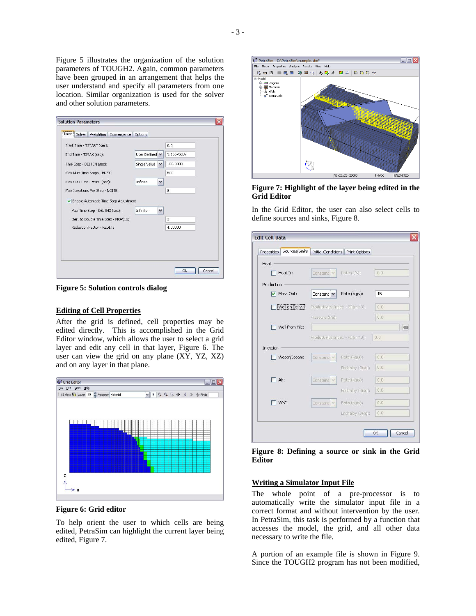Figure 5 illustrates the organization of the solution parameters of TOUGH2. Again, common parameters have been grouped in an arrangement that helps the user understand and specify all parameters from one location. Similar organization is used for the solver and other solution parameters.

| Start Time - TSTART (sec):            |                                 | 0.0        |
|---------------------------------------|---------------------------------|------------|
|                                       |                                 |            |
| End Time - TIMAX (sec):               | User Defined V                  | 3.15576E07 |
| Time Step - DELTEN (sec):             | Single Value<br>$\checkmark$    | 100.0000   |
| Max Num Time Steps - MCYC:            |                                 | 500        |
| Max CPU Time - MSEC (sec):            | <b>Infinite</b><br>$\checkmark$ |            |
| Max Iterations Per Step - NOITE:      | 8                               |            |
| Enable Automatic Time Step Adjustment |                                 |            |
| Max Time Step - DELTMX (sec):         | Infinite<br>$\checkmark$        |            |
| Iter. to Double Time Step - MOP(16):  |                                 | 3          |
| Reduction Factor - REDLT:             | 4.00000                         |            |
|                                       |                                 |            |
|                                       |                                 |            |
|                                       |                                 |            |

**Figure 5: Solution controls dialog** 

## **Editing of Cell Properties**

After the grid is defined, cell properties may be edited directly. This is accomplished in the Grid Editor window, which allows the user to select a grid layer and edit any cell in that layer, Figure 6. The user can view the grid on any plane (XY, YZ, XZ) and on any layer in that plane.



**Figure 6: Grid editor** 

To help orient the user to which cells are being edited, PetraSim can highlight the current layer being edited, Figure 7.



**Figure 7: Highlight of the layer being edited in the Grid Editor** 

In the Grid Editor, the user can also select cells to define sources and sinks, Figure 8.

| Sources/Sinks<br>Properties |                | Initial Conditions Print Options |     |  |
|-----------------------------|----------------|----------------------------------|-----|--|
| Heat                        |                |                                  |     |  |
| Heat In:                    | Constant       | Rate (J/s):                      | 0.0 |  |
| Production                  |                |                                  |     |  |
| Mass Out:<br>☑              | Constant V     | Rate (kg/s):                     | 15  |  |
| Well on Deliv.:             |                | Productivity Index - PI (m^3);   | 0.0 |  |
|                             | Pressure (Pa): |                                  | 0.0 |  |
| Well from File:             |                |                                  |     |  |
|                             |                | Productivity Index - PI (m^3):   | 0.0 |  |
| Injection                   |                |                                  |     |  |
| Water/Steam:                | Constant       | Rate (kg/s):                     | 0.0 |  |
|                             |                | Enthalpy (J/kg):                 | 0.0 |  |
| Air:                        | Constant ~     | Rate (kg/s):                     | 0.0 |  |
|                             |                | Enthalpy (J/kg):                 | 0.0 |  |
| VOC:                        | Constant       | Rate (kg/s):                     | 0.0 |  |
|                             |                | Enthalpy (J/kg);                 | 0.0 |  |

**Figure 8: Defining a source or sink in the Grid Editor** 

## **Writing a Simulator Input File**

The whole point of a pre-processor is to automatically write the simulator input file in a correct format and without intervention by the user. In PetraSim, this task is performed by a function that accesses the model, the grid, and all other data necessary to write the file.

A portion of an example file is shown in Figure 9. Since the TOUGH2 program has not been modified,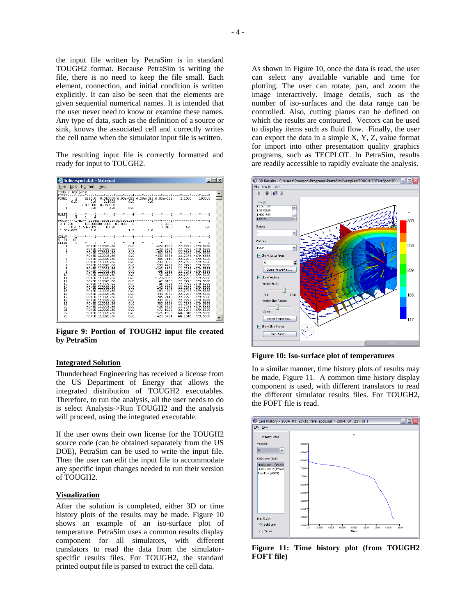the input file written by PetraSim is in standard TOUGH2 format. Because PetraSim is writing the file, there is no need to keep the file small. Each element, connection, and initial condition is written explicitly. It can also be seen that the elements are given sequential numerical names. It is intended that the user never need to know or examine these names. Any type of data, such as the definition of a source or sink, knows the associated cell and correctly writes the cell name when the simulator input file is written.

The resulting input file is correctly formatted and ready for input to TOUGH2.



**Figure 9: Portion of TOUGH2 input file created by PetraSim** 

#### **Integrated Solution**

Thunderhead Engineering has received a license from the US Department of Energy that allows the integrated distribution of TOUGH2 executables. Therefore, to run the analysis, all the user needs to do is select Analysis->Run TOUGH2 and the analysis will proceed, using the integrated executable.

If the user owns their own license for the TOUGH2 source code (can be obtained separately from the US DOE), PetraSim can be used to write the input file. Then the user can edit the input file to accommodate any specific input changes needed to run their version of TOUGH2.

#### **Visualization**

After the solution is completed, either 3D or time history plots of the results may be made. Figure 10 shows an example of an iso-surface plot of temperature. PetraSim uses a common results display component for all simulators, with different translators to read the data from the simulatorspecific results files. For TOUGH2, the standard printed output file is parsed to extract the cell data.

As shown in Figure 10, once the data is read, the user can select any available variable and time for plotting. The user can rotate, pan, and zoom the image interactively. Image details, such as the number of iso-surfaces and the data range can be controlled. Also, cutting planes can be defined on which the results are contoured. Vectors can be used to display items such as fluid flow. Finally, the user can export the data in a simple X, Y, Z, value format for import into other presentation quality graphics programs, such as TECPLOT. In PetraSim, results are readily accessible to rapidly evaluate the analysis.



**Figure 10: Iso-surface plot of temperatures** 

In a similar manner, time history plots of results may be made, Figure 11. A common time history display component is used, with different translators to read the different simulator results files. For TOUGH2, the FOFT file is read.



**Figure 11: Time history plot (from TOUGH2 FOFT file)**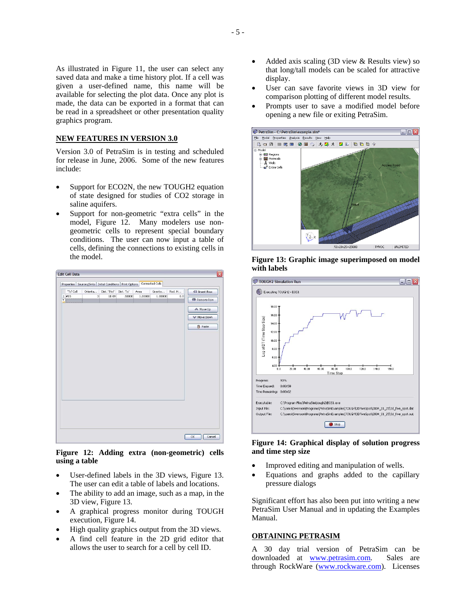As illustrated in Figure 11, the user can select any saved data and make a time history plot. If a cell was given a user-defined name, this name will be available for selecting the plot data. Once any plot is made, the data can be exported in a format that can be read in a spreadsheet or other presentation quality graphics program.

#### **NEW FEATURES IN VERSION 3.0**

Version 3.0 of PetraSim is in testing and scheduled for release in June, 2006. Some of the new features include:

- Support for ECO2N, the new TOUGH2 equation of state designed for studies of CO2 storage in saline aquifers.
- Support for non-geometric "extra cells" in the model, Figure 12. Many modelers use nongeometric cells to represent special boundary conditions. The user can now input a table of cells, defining the connections to existing cells in the model.



**Figure 12: Adding extra (non-geometric) cells using a table** 

- User-defined labels in the 3D views, Figure 13. The user can edit a table of labels and locations.
- The ability to add an image, such as a map, in the 3D view, Figure 13.
- A graphical progress monitor during TOUGH execution, Figure 14.
- High quality graphics output from the 3D views.
- A find cell feature in the 2D grid editor that allows the user to search for a cell by cell ID.
- Added axis scaling (3D view & Results view) so that long/tall models can be scaled for attractive display.
- User can save favorite views in 3D view for comparison plotting of different model results.
- Prompts user to save a modified model before opening a new file or exiting PetraSim.



**Figure 13: Graphic image superimposed on model with labels** 



#### **Figure 14: Graphical display of solution progress and time step size**

- Improved editing and manipulation of wells.
- Equations and graphs added to the capillary pressure dialogs

Significant effort has also been put into writing a new PetraSim User Manual and in updating the Examples Manual.

### **OBTAINING PETRASIM**

A 30 day trial version of PetraSim can be downloaded at www.petrasim.com. Sales are through RockWare (www.rockware.com). Licenses